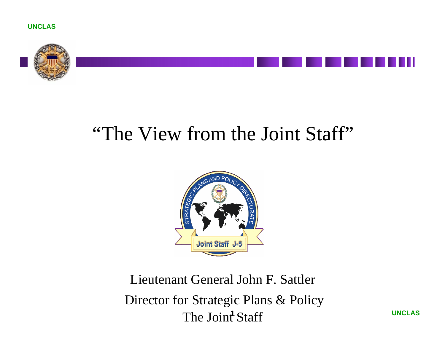



## *"*The View from the Joint Staff"



**1** The Joint Staff Lieutenant General John F. Sattler Director for Strategic Plans & Policy

**UNCLAS**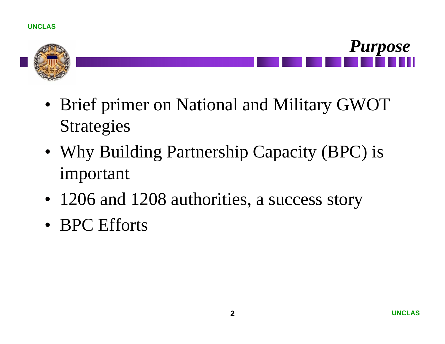



- Brief primer on National and Military GWOT Strategies
- Why Building Partnership Capacity (BPC) is important
- 1206 and 1208 authorities, a success story
- BPC Efforts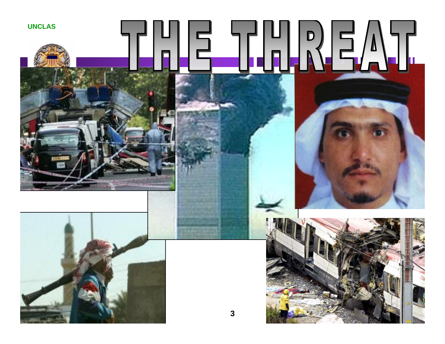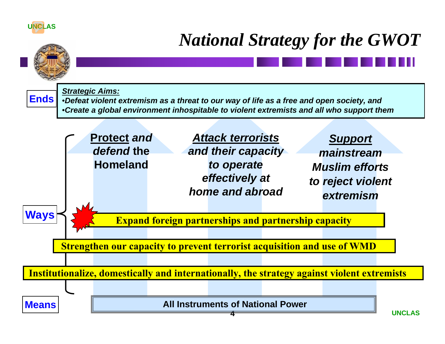#### **UNCLAS**

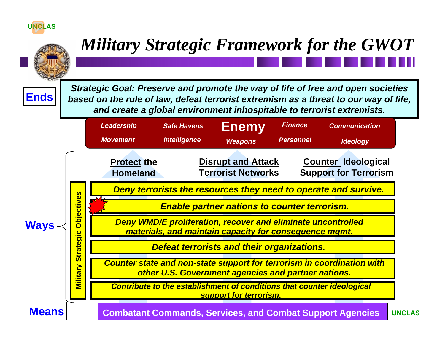#### **UNCLAS**

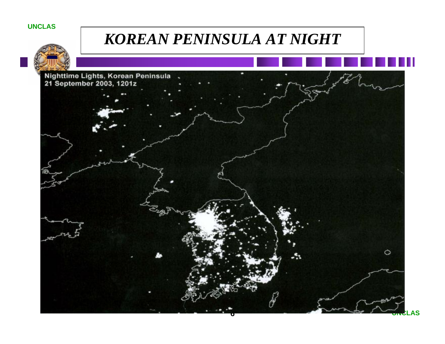#### **UNCLAS**



## *KOREAN PENINSULA AT NIGHT*

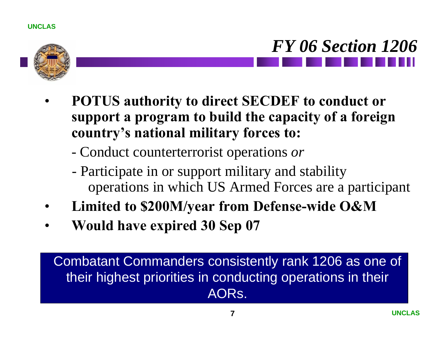



- **POTUS authority to direct SECDEF to conduct or support a program to build the capacity of a foreign country's national military forces to:**
	- Conduct counterterrorist operations *or*
	- Participate in or support military and stability operations in which US Armed Forces are a participant
- **Limited to \$200M/year from Defense-wide O&M**
- **Would have expired 30 Sep 07**

### Combatant Commanders consistently rank 1206 as one of their highest priorities in conducting operations in their AORs.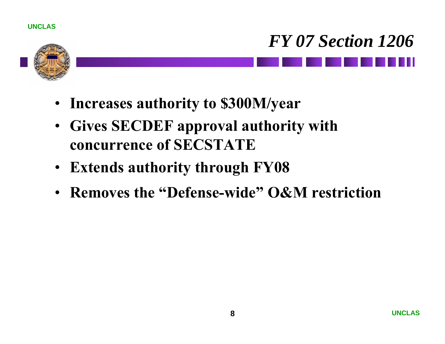



- **Increases authority to \$300M/year**
- **Gives SECDEF approval authority with concurrence of SECSTATE**
- **Extends authority through FY08**
- **Removes the "Defense-wide" O&M restriction**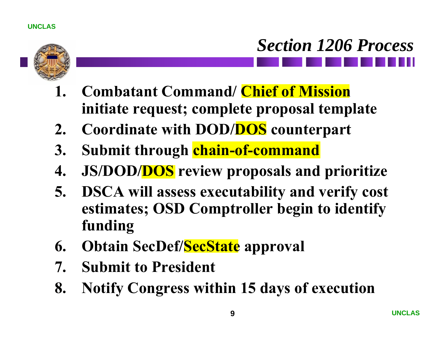

# *Section 1206 Process*

- **1. Combatant Command/ Chief of Mission initiate request; complete proposal template**
- **2. Coordinate with DOD/DOS counterpart**
- **3. Submit through chain-of-command**
- **4. JS/DOD/DOS review proposals and prioritize**
- **5. DSCA will assess executability and verify cost estimates; OSD Comptroller begin to identify funding**
- **6. Obtain SecDef/SecState approval**
- **7. Submit to President**
- **8. Notify Congress within 15 days of execution**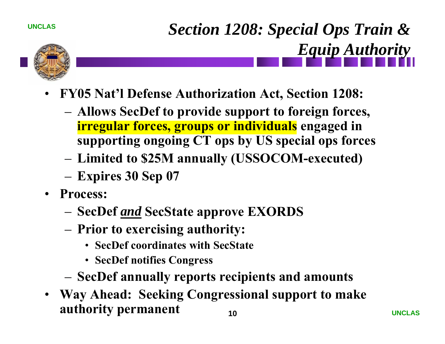*Section 1208: Special Ops Train & Equip Authority*



- **FY05 Nat'l Defense Authorization Act, Section 1208:**
	- **Allows SecDef to provide support to foreign forces, irregular forces, groups or individuals engaged in supporting ongoing CT ops by US special ops forces**
	- **Limited to \$25M annually (USSOCOM-executed)**
	- **Expires 30 Sep 07**
- **Process:** 
	- **SecDef** *and* **SecState approve EXORDS**
	- **Prior to exercising authority:**
		- **SecDef coordinates with SecState**
		- **SecDef notifies Congress**
	- **SecDef annually reports recipients and amounts**
- **10**• **Way Ahead: Seeking Congressional support to make authority permanent**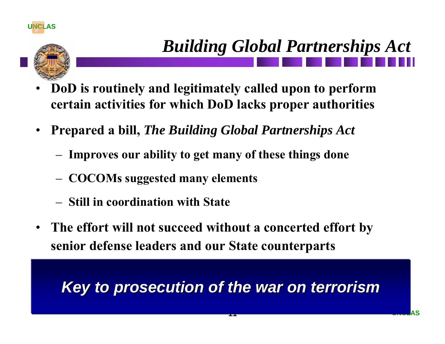

## *Building Global Partnerships Act*

- **DoD is routinely and legitimately called upon to perform certain activities for which DoD lacks proper authorities**
- **Prepared a bill,** *The Building Global Partnerships Act*
	- **Improves our ability to get many of these things done**
	- **COCOMs suggested many elements**
	- **Still in coordination with State**
- **The effort will not succeed without a concerted effort by senior defense leaders and our State counterparts**

## *Key to prosecution of the war on terrorism Key to prosecution of the war on terrorism*

**11**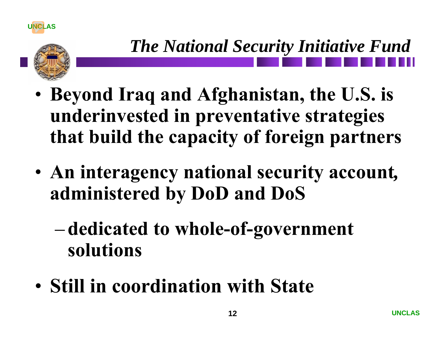

- **Beyond Iraq and Afghanistan, the U.S. is underinvested in preventative strategies that build the capacity of foreign partners**
- **An interagency national security account***,*  **administered by DoD and DoS**
	- **dedicated to whole-of-government solutions**
- **Still in coordination with State**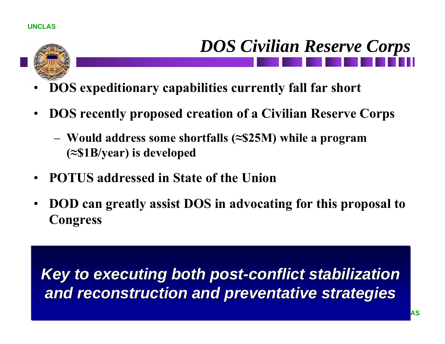- **DOS expeditionary capabilities currently fall far short**
- **DOS recently proposed creation of a Civilian Reserve Corps**
	- **Would address some shortfalls (≈\$25M) while a program (≈\$1B/year) is developed**
- **POTUS addressed in State of the Union**
- **DOD can greatly assist DOS in advocating for this proposal to Congress**

Key to executing both post-conflict stabilization *and reconstruction and preventative strategies and reconstruction and preventative strategies*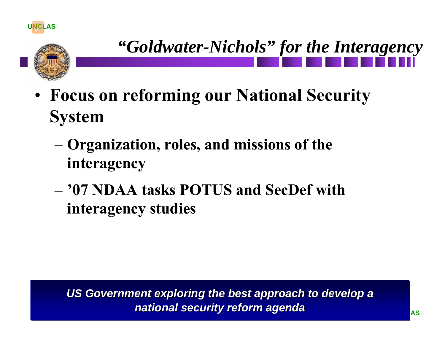



- **Focus on reforming our National Security System**
	- **Organization, roles, and missions of the interagency**
	- **'07 NDAA tasks POTUS and SecDef with interagency studies**

**14***national security reform agenda national security reform agenda*US Government exploring the best approach to develop a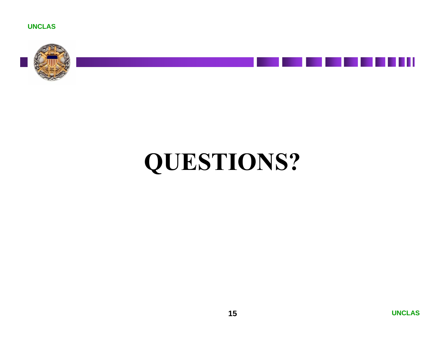



## **QUESTIONS?**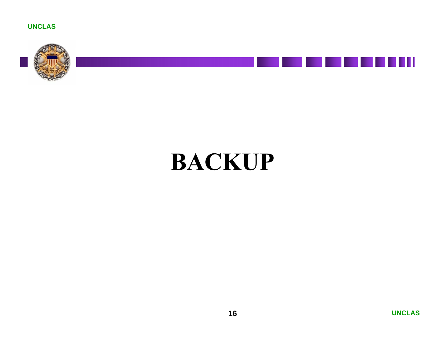



## **BACKUP**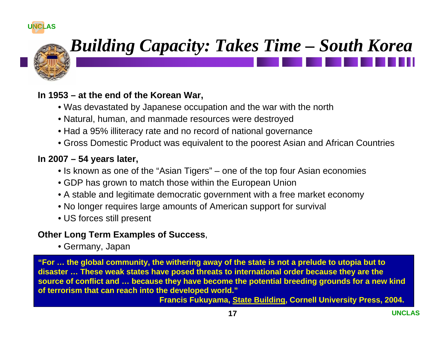

## *Building Capacity: Takes Time – South Korea*

#### **In 1953 – at the end of the Korean War,**

- Was devastated by Japanese occupation and the war with the north
- Natural, human, and manmade resources were destroyed
- Had a 95% illiteracy rate and no record of national governance
- Gross Domestic Product was equivalent to the poorest Asian and African Countries

#### **In 2007 – 54 years later,**

- Is known as one of the "Asian Tigers" one of the top four Asian economies
- GDP has grown to match those within the European Union
- A stable and legitimate democratic government with a free market economy
- No longer requires large amounts of American support for survival
- US forces still present

#### **Other Long Term Examples of Success**,

• Germany, Japan

**"For … the global community, the withering away of the state is not a prelude to utopia but to disaster … These weak states have posed threats to international order because they are the source of conflict and … because they have become the potential breeding grounds for a new kind of terrorism that can reach into the developed world."** 

**Francis Fukuyama, State Building, Cornell University Press, 2004.**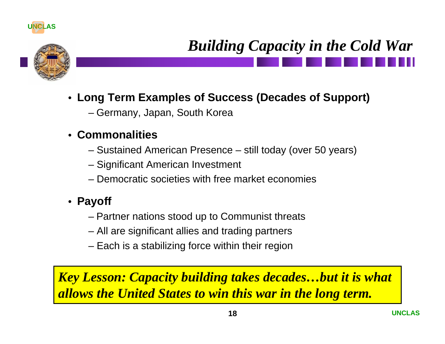

## *Building Capacity in the Cold War*

- **Long Term Examples of Success (Decades of Support)**
	- Germany, Japan, South Korea

### • **Commonalities**

- Sustained American Presence still today (over 50 years)
- Significant American Investment
- Democratic societies with free market economies
- **Payoff**
	- Partner nations stood up to Communist threats
	- All are significant allies and trading partners
	- Each is a stabilizing force within their region

*Key Lesson: Capacity building takes decades…but it is what allows the United States to win this war in the long term.*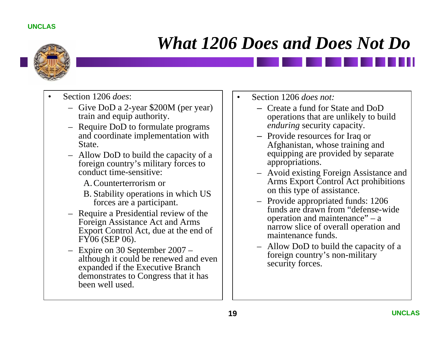

## *What 1206 Does and Does Not Do*

- Section 1206 *does*:
	- Give DoD a 2-year \$200M (per year) train and equip authority.
	- Require DoD to formulate programs and coordinate implementation with State.
	- Allow DoD to build the capacity of a foreign country's military forces to conduct time-sensitive:
		- A.Counterterrorism or
		- B. Stability operations in which US forces are a participant.
	- Require a Presidential review of the Foreign Assistance Act and Arms Export Control Act, due at the end of FY06 (SEP 06).
	- Expire on 30 September 2007 although it could be renewed and even expanded if the Executive Branch demonstrates to Congress that it has been well used.
- Section 1206 *does not:*
	- Create a fund for State and DoD operations that are unlikely to build *enduring* security capacity.
	- Provide resources for Iraq or Afghanistan, whose training and equipping are provided by separate appropriations.
	- Avoid existing Foreign Assistance and Arms Export Control Act prohibitions on this type of assistance.
	- Provide appropriated funds: 1206 funds are drawn from "defense-wide operation and maintenance" – a narrow slice of overall operation and maintenance funds.
	- Allow DoD to build the capacity of a foreign country's non-military security forces.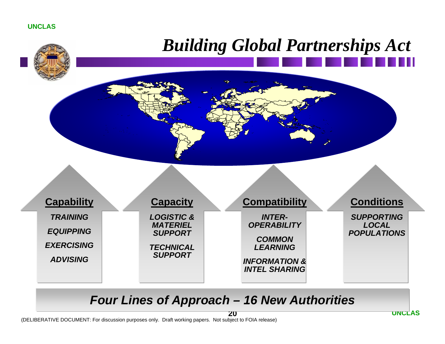# *Building Global Partnerships Act*



#### *Four Lines of Approach – 16 New Authorities*

(DELIBERATIVE DOCUMENT: For discussion purposes only. Draft working papers. Not subject to FOIA release)

**20**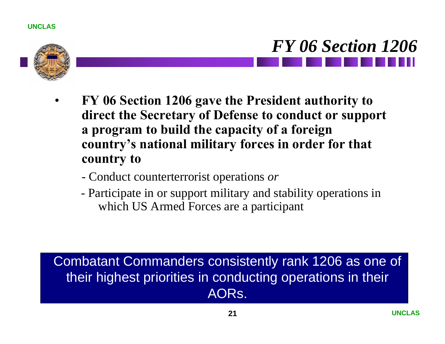



- **FY 06 Section 1206 gave the President authority to direct the Secretary of Defense to conduct or support a program to build the capacity of a foreign country's national military forces in order for that country to** 
	- Conduct counterterrorist operations *or*
	- Participate in or support military and stability operations in which US Armed Forces are a participant

### Combatant Commanders consistently rank 1206 as one of their highest priorities in conducting operations in their AORs.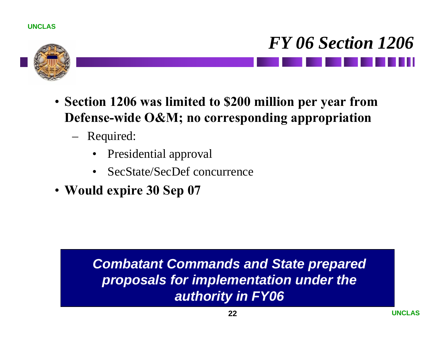



- **Section 1206 was limited to \$200 million per year from Defense-wide O&M; no corresponding appropriation**
	- Required:
		- Presidential approval
		- SecState/SecDef concurrence
- **Would expire 30 Sep 07**

### *Combatant Commands and State prepared proposals for implementation under the authority in FY06*